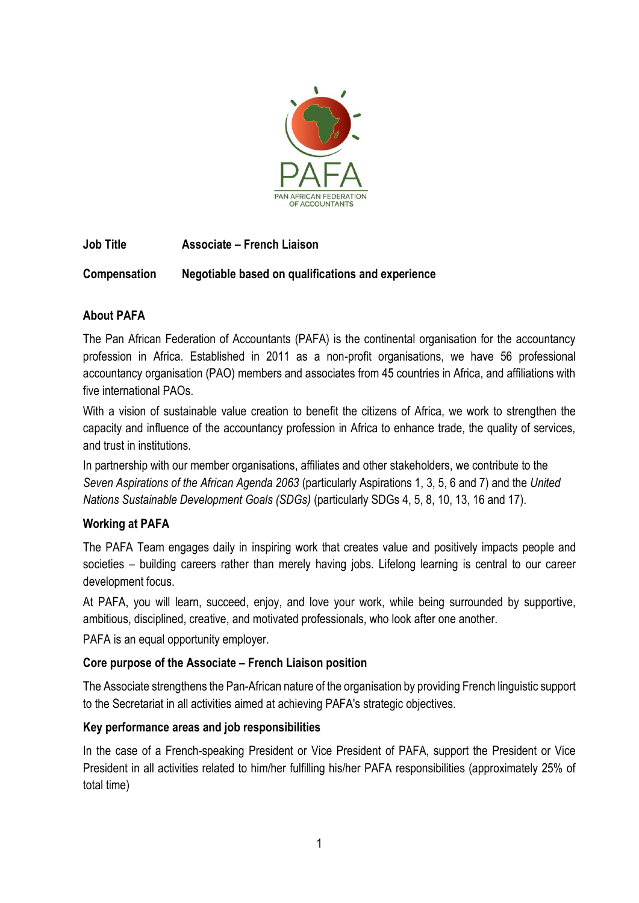

# **Job Title Associate – French Liaison**

## **Compensation Negotiable based on qualifications and experience**

## **About PAFA**

The Pan African Federation of Accountants (PAFA) is the continental organisation for the accountancy profession in Africa. Established in 2011 as a non-profit organisations, we have 56 professional accountancy organisation (PAO) members and associates from 45 countries in Africa, and affiliations with five international PAOs.

With a vision of sustainable value creation to benefit the citizens of Africa, we work to strengthen the capacity and influence of the accountancy profession in Africa to enhance trade, the quality of services, and trust in institutions.

In partnership with our member organisations, affiliates and other stakeholders, we contribute to the *Seven Aspirations of the African Agenda 2063* (particularly Aspirations 1, 3, 5, 6 and 7) and the *United Nations Sustainable Development Goals (SDGs)* (particularly SDGs 4, 5, 8, 10, 13, 16 and 17).

## **Working at PAFA**

The PAFA Team engages daily in inspiring work that creates value and positively impacts people and societies – building careers rather than merely having jobs. Lifelong learning is central to our career development focus.

At PAFA, you will learn, succeed, enjoy, and love your work, while being surrounded by supportive, ambitious, disciplined, creative, and motivated professionals, who look after one another.

PAFA is an equal opportunity employer.

## **Core purpose of the Associate – French Liaison position**

The Associate strengthens the Pan-African nature of the organisation by providing French linguistic support to the Secretariat in all activities aimed at achieving PAFA's strategic objectives.

## **Key performance areas and job responsibilities**

In the case of a French-speaking President or Vice President of PAFA, support the President or Vice President in all activities related to him/her fulfilling his/her PAFA responsibilities (approximately 25% of total time)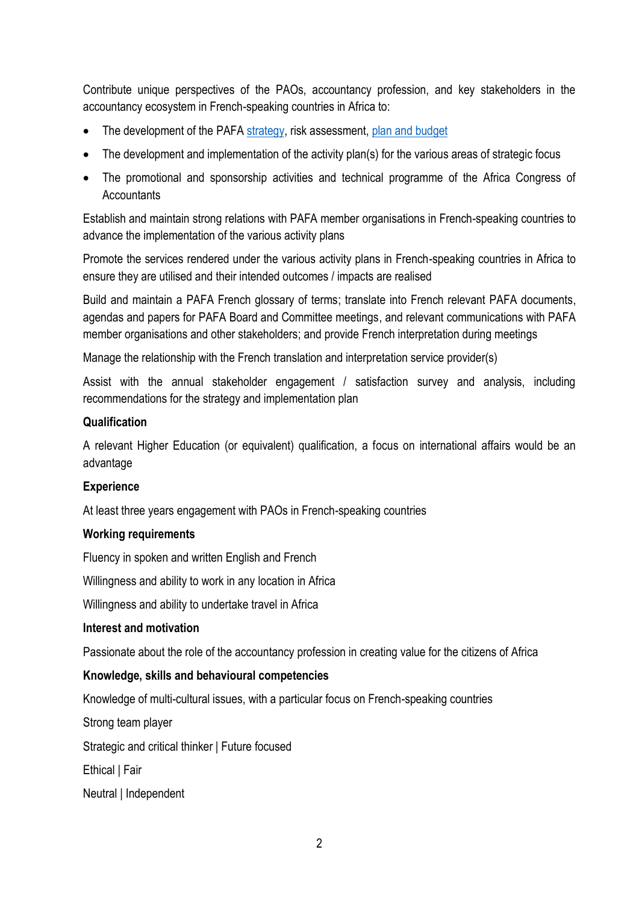Contribute unique perspectives of the PAOs, accountancy profession, and key stakeholders in the accountancy ecosystem in French-speaking countries in Africa to:

- The development of the PAFA [strategy,](https://pafaafrica.sharepoint.com/:b:/g/EbSWgcwmTOpAv_ftcwxyLrMBLp34rQzG06d8UsJeRgcB9g?e=y83kkF) risk assessment, [plan and budget](https://pafaafrica.sharepoint.com/:b:/g/EfE1tVurD4xHnZArIHxa9WYByKb31CshOKa2Q7_W7wspWQ?e=2DwqMz)
- The development and implementation of the activity plan(s) for the various areas of strategic focus
- The promotional and sponsorship activities and technical programme of the Africa Congress of **Accountants**

Establish and maintain strong relations with PAFA member organisations in French-speaking countries to advance the implementation of the various activity plans

Promote the services rendered under the various activity plans in French-speaking countries in Africa to ensure they are utilised and their intended outcomes / impacts are realised

Build and maintain a PAFA French glossary of terms; translate into French relevant PAFA documents, agendas and papers for PAFA Board and Committee meetings, and relevant communications with PAFA member organisations and other stakeholders; and provide French interpretation during meetings

Manage the relationship with the French translation and interpretation service provider(s)

Assist with the annual stakeholder engagement / satisfaction survey and analysis, including recommendations for the strategy and implementation plan

#### **Qualification**

A relevant Higher Education (or equivalent) qualification, a focus on international affairs would be an advantage

## **Experience**

At least three years engagement with PAOs in French-speaking countries

#### **Working requirements**

Fluency in spoken and written English and French

Willingness and ability to work in any location in Africa

Willingness and ability to undertake travel in Africa

#### **Interest and motivation**

Passionate about the role of the accountancy profession in creating value for the citizens of Africa

## **Knowledge, skills and behavioural competencies**

Knowledge of multi-cultural issues, with a particular focus on French-speaking countries

Strong team player

Strategic and critical thinker | Future focused

Ethical | Fair

Neutral | Independent